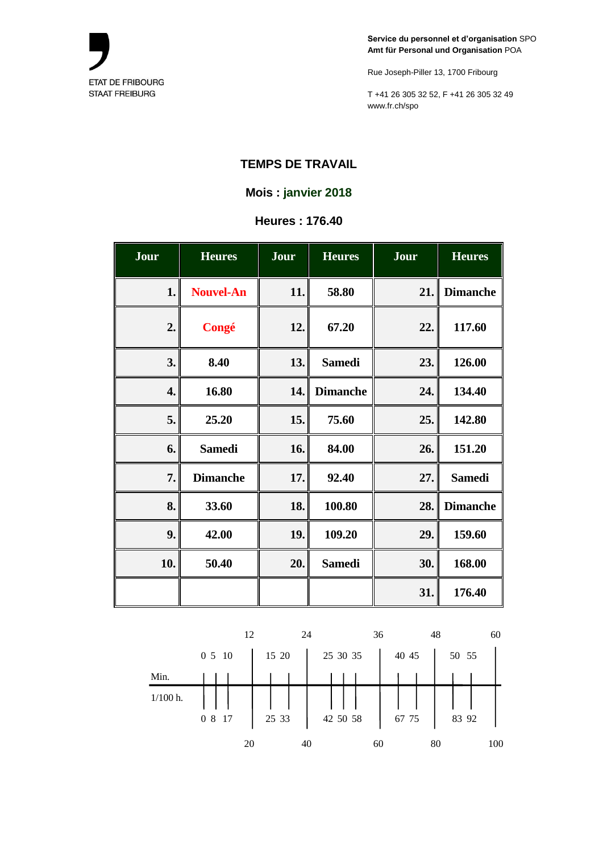

Rue Joseph-Piller 13, 1700 Fribourg

T +41 26 305 32 52, F +41 26 305 32 49 www.fr.ch/spo

## **TEMPS DE TRAVAIL**

### **Mois : janvier 2018**

### **Heures : 176.40**

| Jour | <b>Heures</b>    | Jour | <b>Heures</b>   | Jour | <b>Heures</b>   |
|------|------------------|------|-----------------|------|-----------------|
| 1.   | <b>Nouvel-An</b> | 11.  | 58.80           | 21.  | <b>Dimanche</b> |
| 2.   | Congé            | 12.  | 67.20           | 22.  | 117.60          |
| 3.   | 8.40             | 13.  | <b>Samedi</b>   | 23.  | 126.00          |
| 4.   | 16.80            | 14.  | <b>Dimanche</b> | 24.  | 134.40          |
| 5.   | 25.20            | 15.  | 75.60           | 25.  | 142.80          |
| 6.   | <b>Samedi</b>    | 16.  | 84.00           | 26.  | 151.20          |
| 7.   | <b>Dimanche</b>  | 17.  | 92.40           | 27.  | <b>Samedi</b>   |
| 8.   | 33.60            | 18.  | 100.80          | 28.  | <b>Dimanche</b> |
| 9.   | 42.00            | 19.  | 109.20          | 29.  | 159.60          |
| 10.  | 50.40            | 20.  | <b>Samedi</b>   | 30.  | 168.00          |
|      |                  |      |                 | 31.  | 176.40          |

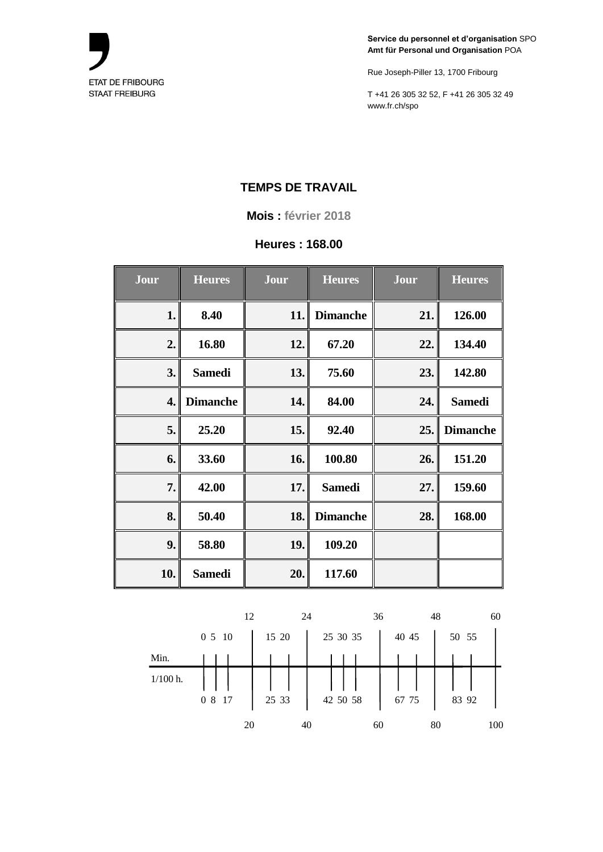

Rue Joseph-Piller 13, 1700 Fribourg

T +41 26 305 32 52, F +41 26 305 32 49 www.fr.ch/spo

# **TEMPS DE TRAVAIL**

**Mois : février 2018**

## **Heures : 168.00**

| Jour | <b>Heures</b>   | Jour | <b>Heures</b>   | Jour | <b>Heures</b>   |
|------|-----------------|------|-----------------|------|-----------------|
| 1.   | 8.40            | 11.  | <b>Dimanche</b> | 21.  | 126.00          |
| 2.   | 16.80           | 12.  | 67.20           | 22.  | 134.40          |
| 3.   | <b>Samedi</b>   | 13.  | 75.60           | 23.  | 142.80          |
| 4.   | <b>Dimanche</b> | 14.  | 84.00           | 24.  | <b>Samedi</b>   |
| 5.   | 25.20           | 15.  | 92.40           | 25.  | <b>Dimanche</b> |
| 6.   | 33.60           | 16.  | 100.80          | 26.  | 151.20          |
| 7.   | 42.00           | 17.  | <b>Samedi</b>   | 27.  | 159.60          |
| 8.   | 50.40           | 18.  | <b>Dimanche</b> | 28.  | 168.00          |
| 9.   | 58.80           | 19.  | 109.20          |      |                 |
| 10.  | <b>Samedi</b>   | 20.  | 117.60          |      |                 |

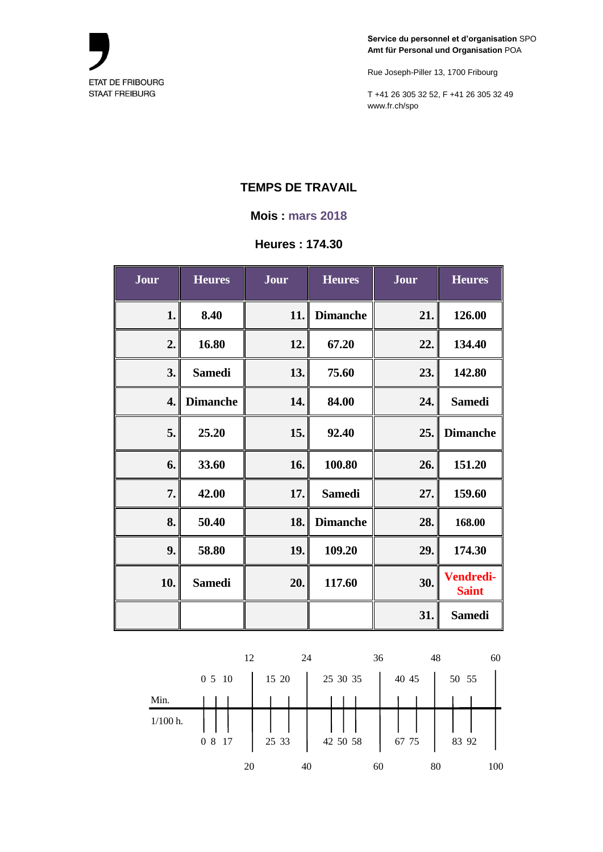

Rue Joseph-Piller 13, 1700 Fribourg

T +41 26 305 32 52, F +41 26 305 32 49 www.fr.ch/spo

# **TEMPS DE TRAVAIL**

#### **Mois : mars 2018**

### **Heures : 174.30**

| Jour | <b>Heures</b>   | Jour | <b>Heures</b>   | Jour | <b>Heures</b>                    |
|------|-----------------|------|-----------------|------|----------------------------------|
| 1.   | 8.40            | 11.  | <b>Dimanche</b> | 21.  | 126.00                           |
| 2.   | 16.80           | 12.  | 67.20           | 22.  | 134.40                           |
| 3.   | <b>Samedi</b>   | 13.  | 75.60           | 23.  | 142.80                           |
| 4.   | <b>Dimanche</b> | 14.  | 84.00           | 24.  | <b>Samedi</b>                    |
| 5.   | 25.20           | 15.  | 92.40           | 25.  | <b>Dimanche</b>                  |
| 6.   | 33.60           | 16.  | 100.80          | 26.  | 151.20                           |
| 7.   | 42.00           | 17.  | <b>Samedi</b>   | 27.  | 159.60                           |
| 8.   | 50.40           | 18.  | <b>Dimanche</b> | 28.  | 168.00                           |
| 9.   | 58.80           | 19.  | 109.20          | 29.  | 174.30                           |
| 10.  | <b>Samedi</b>   | 20.  | 117.60          | 30.  | <b>Vendredi-</b><br><b>Saint</b> |
|      |                 |      |                 | 31.  | <b>Samedi</b>                    |

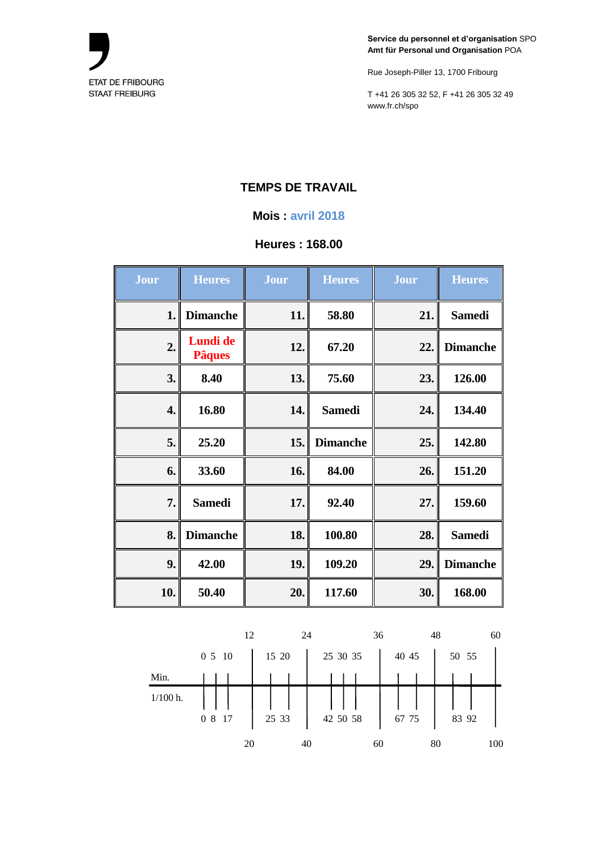

Rue Joseph-Piller 13, 1700 Fribourg

T +41 26 305 32 52, F +41 26 305 32 49 www.fr.ch/spo

# **TEMPS DE TRAVAIL**

#### **Mois : avril 2018**

## **Heures : 168.00**

| <b>Jour</b> | <b>Heures</b>             | Jour | <b>Heures</b>   | Jour | <b>Heures</b>   |
|-------------|---------------------------|------|-----------------|------|-----------------|
| 1.          | <b>Dimanche</b>           | 11.  | 58.80           | 21.  | <b>Samedi</b>   |
| 2.          | Lundi de<br><b>Pâques</b> | 12.  | 67.20           | 22.  | <b>Dimanche</b> |
| 3.          | 8.40                      | 13.  | 75.60           | 23.  | 126.00          |
| 4.          | 16.80                     | 14.  | <b>Samedi</b>   | 24.  | 134.40          |
| 5.          | 25.20                     | 15.  | <b>Dimanche</b> | 25.  | 142.80          |
| 6.          | 33.60                     | 16.  | 84.00           | 26.  | 151.20          |
| 7.          | <b>Samedi</b>             | 17.  | 92.40           | 27.  | 159.60          |
| 8.          | <b>Dimanche</b>           | 18.  | 100.80          | 28.  | <b>Samedi</b>   |
| 9.          | 42.00                     | 19.  | 109.20          | 29.  | <b>Dimanche</b> |
| 10.         | 50.40                     | 20.  | 117.60          | 30.  | 168.00          |

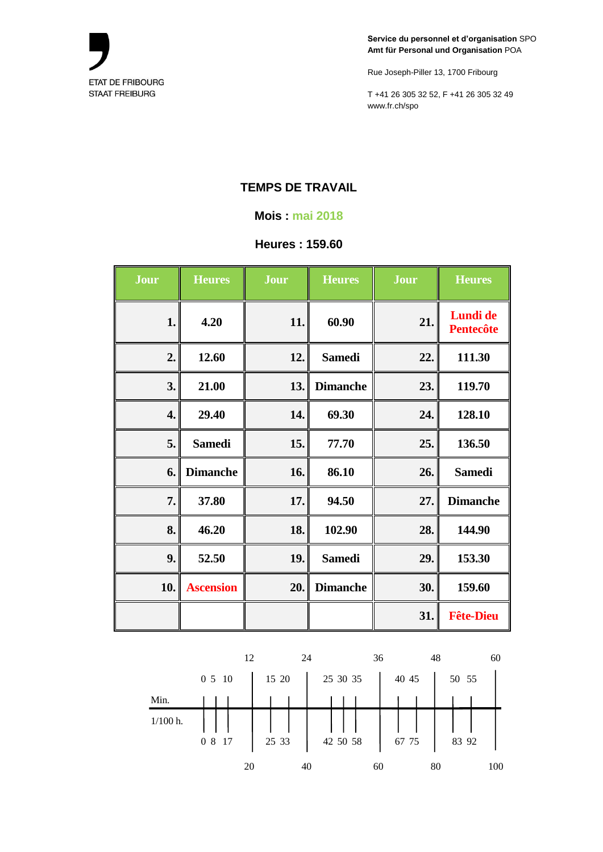

Rue Joseph-Piller 13, 1700 Fribourg

T +41 26 305 32 52, F +41 26 305 32 49 www.fr.ch/spo

# **TEMPS DE TRAVAIL**

#### **Mois : mai 2018**

#### **Heures : 159.60**

| Jour               | <b>Heures</b>    | Jour | <b>Heures</b>   | Jour | <b>Heures</b>                |
|--------------------|------------------|------|-----------------|------|------------------------------|
| 1.                 | 4.20             | 11.  | 60.90           | 21.  | Lundi de<br><b>Pentecôte</b> |
| 2.                 | 12.60            | 12.  | <b>Samedi</b>   | 22.  | 111.30                       |
| 3.                 | 21.00            | 13.  | <b>Dimanche</b> | 23.  | 119.70                       |
| $\boldsymbol{4}$ . | 29.40            | 14.  | 69.30           | 24.  | 128.10                       |
| 5.                 | <b>Samedi</b>    | 15.  | 77.70           | 25.  | 136.50                       |
| 6.                 | <b>Dimanche</b>  | 16.  | 86.10           | 26.  | <b>Samedi</b>                |
| 7.                 | 37.80            | 17.  | 94.50           | 27.  | <b>Dimanche</b>              |
| 8.                 | 46.20            | 18.  | 102.90          | 28.  | 144.90                       |
| 9.                 | 52.50            | 19.  | <b>Samedi</b>   | 29.  | 153.30                       |
| 10.                | <b>Ascension</b> | 20.  | <b>Dimanche</b> | 30.  | 159.60                       |
|                    |                  |      |                 | 31.  | <b>Fête-Dieu</b>             |

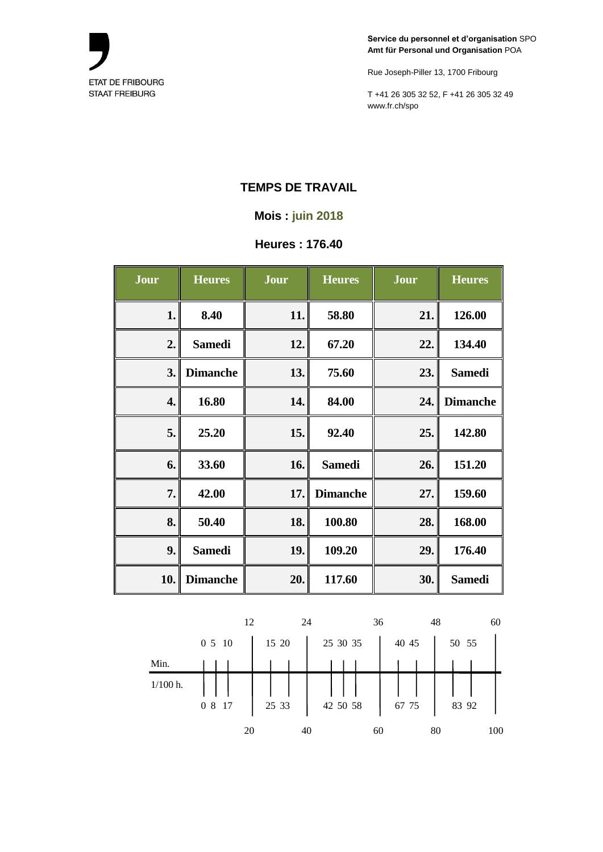

Rue Joseph-Piller 13, 1700 Fribourg

T +41 26 305 32 52, F +41 26 305 32 49 www.fr.ch/spo

### **TEMPS DE TRAVAIL**

#### **Mois : juin 2018**

# **Heures : 176.40**

| Jour | <b>Heures</b>   | Jour | <b>Heures</b>   | Jour | <b>Heures</b>   |
|------|-----------------|------|-----------------|------|-----------------|
| 1.   | 8.40            | 11.  | 58.80           | 21.  | 126.00          |
| 2.   | <b>Samedi</b>   | 12.  | 67.20           | 22.  | 134.40          |
| 3.   | <b>Dimanche</b> | 13.  | 75.60           | 23.  | <b>Samedi</b>   |
| 4.   | 16.80           | 14.  | 84.00           | 24.  | <b>Dimanche</b> |
| 5.   | 25.20           | 15.  | 92.40           | 25.  | 142.80          |
| 6.   | 33.60           | 16.  | <b>Samedi</b>   | 26.  | 151.20          |
| 7.   | 42.00           | 17.  | <b>Dimanche</b> | 27.  | 159.60          |
| 8.   | 50.40           | 18.  | 100.80          | 28.  | 168.00          |
| 9.   | <b>Samedi</b>   | 19.  | 109.20          | 29.  | 176.40          |
| 10.  | <b>Dimanche</b> | 20.  | 117.60          | 30.  | <b>Samedi</b>   |

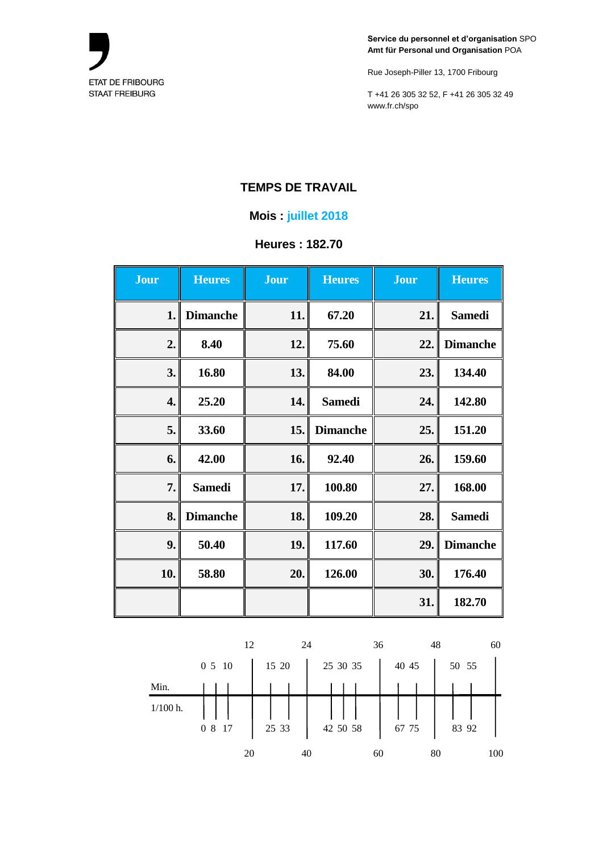

Rue Joseph-Piller 13, 1700 Fribourg

T +41 26 305 32 52, F +41 26 305 32 49 www.fr.ch/spo

### **TEMPS DE TRAVAIL**

#### **Mois : juillet 2018**

## **Heures : 182.70**

| <b>Jour</b> | <b>Heures</b>   | <b>Jour</b> | <b>Heures</b>   | <b>Jour</b> | <b>Heures</b>   |
|-------------|-----------------|-------------|-----------------|-------------|-----------------|
| 1.          | <b>Dimanche</b> | 11.         | 67.20           | 21.         | <b>Samedi</b>   |
| 2.          | 8.40            | 12.         | 75.60           | 22.         | <b>Dimanche</b> |
| 3.          | 16.80           | 13.         | 84.00           | 23.         | 134.40          |
| 4.          | 25.20           | 14.         | <b>Samedi</b>   | 24.         | 142.80          |
| 5.          | 33.60           | 15.         | <b>Dimanche</b> | 25.         | 151.20          |
| 6.          | 42.00           | 16.         | 92.40           | 26.         | 159.60          |
| 7.          | <b>Samedi</b>   | 17.         | 100.80          | 27.         | 168.00          |
| 8.          | <b>Dimanche</b> | 18.         | 109.20          | 28.         | <b>Samedi</b>   |
| 9.          | 50.40           | 19.         | 117.60          | 29.         | <b>Dimanche</b> |
| 10.         | 58.80           | 20.         | 126.00          | 30.         | 176.40          |
|             |                 |             |                 | 31.         | 182.70          |

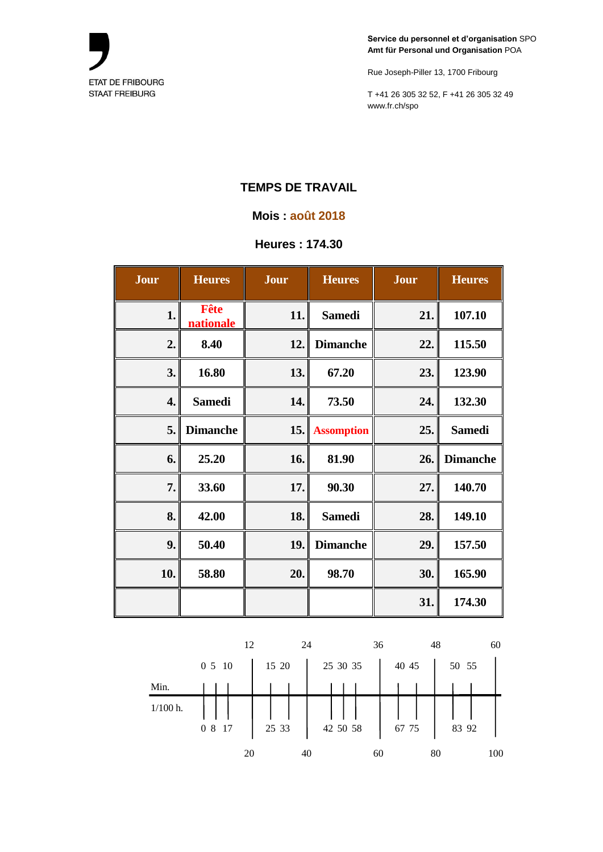

Rue Joseph-Piller 13, 1700 Fribourg

T +41 26 305 32 52, F +41 26 305 32 49 www.fr.ch/spo

# **TEMPS DE TRAVAIL**

#### **Mois : août 2018**

#### **Heures : 174.30**

| Jour | <b>Heures</b>            | Jour | <b>Heures</b>     | Jour | <b>Heures</b>   |
|------|--------------------------|------|-------------------|------|-----------------|
| 1.   | Fête<br><b>nationale</b> | 11.  | <b>Samedi</b>     | 21.  | 107.10          |
| 2.   | 8.40                     | 12.  | <b>Dimanche</b>   | 22.  | 115.50          |
| 3.   | 16.80                    | 13.  | 67.20             | 23.  | 123.90          |
| 4.   | <b>Samedi</b>            | 14.  | 73.50             | 24.  | 132.30          |
| 5.   | <b>Dimanche</b>          | 15.  | <b>Assomption</b> | 25.  | <b>Samedi</b>   |
| 6.   | 25.20                    | 16.  | 81.90             | 26.  | <b>Dimanche</b> |
| 7.   | 33.60                    | 17.  | 90.30             | 27.  | 140.70          |
| 8.   | 42.00                    | 18.  | <b>Samedi</b>     | 28.  | 149.10          |
| 9.   | 50.40                    | 19.  | <b>Dimanche</b>   | 29.  | 157.50          |
| 10.  | 58.80                    | 20.  | 98.70             | 30.  | 165.90          |
|      |                          |      |                   | 31.  | 174.30          |

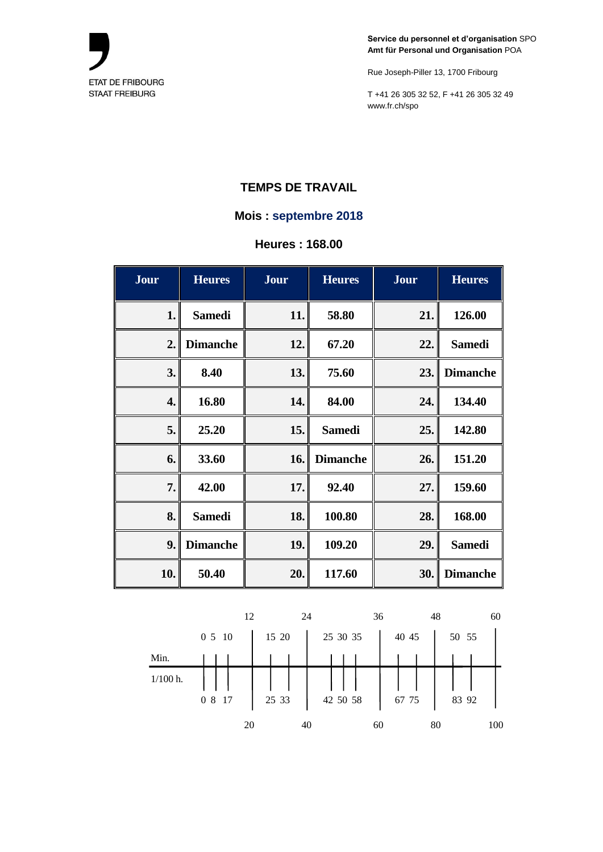

Rue Joseph-Piller 13, 1700 Fribourg

T +41 26 305 32 52, F +41 26 305 32 49 www.fr.ch/spo

### **TEMPS DE TRAVAIL**

#### **Mois : septembre 2018**

**Heures : 168.00**

| Jour | <b>Heures</b>   | Jour | <b>Heures</b>   | Jour | <b>Heures</b>   |
|------|-----------------|------|-----------------|------|-----------------|
| 1.   | <b>Samedi</b>   | 11.  | 58.80           | 21.  | 126.00          |
| 2.   | <b>Dimanche</b> | 12.  | 67.20           | 22.  | <b>Samedi</b>   |
| 3.   | 8.40            | 13.  | 75.60           | 23.  | <b>Dimanche</b> |
| 4.   | 16.80           | 14.  | 84.00           | 24.  | 134.40          |
| 5.   | 25.20           | 15.  | <b>Samedi</b>   | 25.  | 142.80          |
| 6.   | 33.60           | 16.  | <b>Dimanche</b> | 26.  | 151.20          |
| 7.   | 42.00           | 17.  | 92.40           | 27.  | 159.60          |
| 8.   | <b>Samedi</b>   | 18.  | 100.80          | 28.  | 168.00          |
| 9.   | <b>Dimanche</b> | 19.  | 109.20          | 29.  | <b>Samedi</b>   |
| 10.  | 50.40           | 20.  | 117.60          | 30.  | <b>Dimanche</b> |

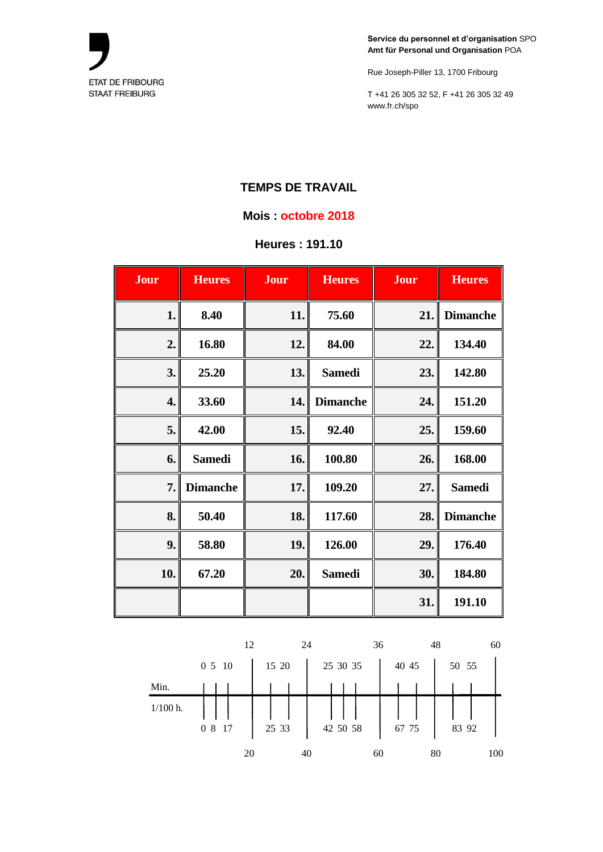

Rue Joseph-Piller 13, 1700 Fribourg

T +41 26 305 32 52, F +41 26 305 32 49 www.fr.ch/spo

### **TEMPS DE TRAVAIL**

#### **Mois : octobre 2018**

## **Heures : 191.10**

| Jour | <b>Heures</b>   | Jour | <b>Heures</b>   | Jour | <b>Heures</b>   |
|------|-----------------|------|-----------------|------|-----------------|
| 1.   | 8.40            | 11.  | 75.60           | 21.  | <b>Dimanche</b> |
| 2.   | 16.80           | 12.  | 84.00           | 22.  | 134.40          |
| 3.   | 25.20           | 13.  | <b>Samedi</b>   | 23.  | 142.80          |
| 4.   | 33.60           | 14.  | <b>Dimanche</b> | 24.  | 151.20          |
| 5.   | 42.00           | 15.  | 92.40           | 25.  | 159.60          |
| 6.   | <b>Samedi</b>   | 16.  | 100.80          | 26.  | 168.00          |
| 7.   | <b>Dimanche</b> | 17.  | 109.20          | 27.  | <b>Samedi</b>   |
| 8.   | 50.40           | 18.  | 117.60          | 28.  | <b>Dimanche</b> |
| 9.   | 58.80           | 19.  | 126.00          | 29.  | 176.40          |
| 10.  | 67.20           | 20.  | <b>Samedi</b>   | 30.  | 184.80          |
|      |                 |      |                 | 31.  | 191.10          |

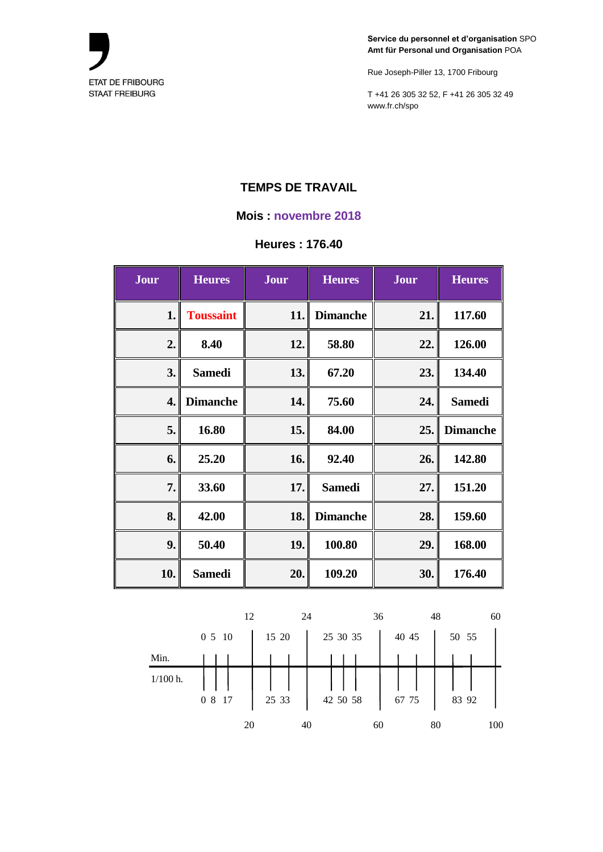

Rue Joseph-Piller 13, 1700 Fribourg

T +41 26 305 32 52, F +41 26 305 32 49 www.fr.ch/spo

# **TEMPS DE TRAVAIL**

#### **Mois : novembre 2018**

#### **Heures : 176.40**

| Jour | <b>Heures</b>    | Jour | <b>Heures</b>   | Jour | <b>Heures</b>   |
|------|------------------|------|-----------------|------|-----------------|
| 1.   | <b>Toussaint</b> | 11.  | <b>Dimanche</b> | 21.  | 117.60          |
| 2.   | 8.40             | 12.  | 58.80           | 22.  | 126.00          |
| 3.   | <b>Samedi</b>    | 13.  | 67.20           | 23.  | 134.40          |
| 4.   | <b>Dimanche</b>  | 14.  | 75.60           | 24.  | <b>Samedi</b>   |
| 5.   | 16.80            | 15.  | 84.00           | 25.  | <b>Dimanche</b> |
| 6.   | 25.20            | 16.  | 92.40           | 26.  | 142.80          |
| 7.   | 33.60            | 17.  | <b>Samedi</b>   | 27.  | 151.20          |
| 8.   | 42.00            | 18.  | <b>Dimanche</b> | 28.  | 159.60          |
| 9.   | 50.40            | 19.  | 100.80          | 29.  | 168.00          |
| 10.  | <b>Samedi</b>    | 20.  | 109.20          | 30.  | 176.40          |